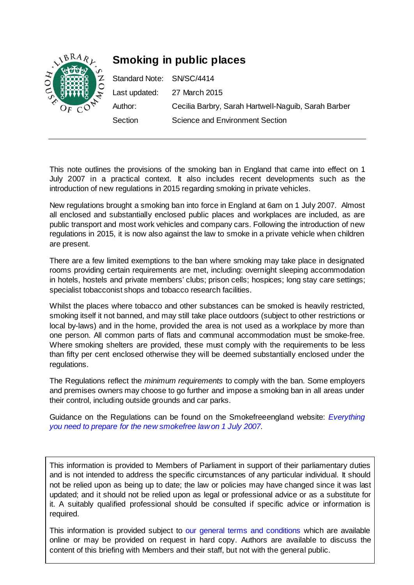

This note outlines the provisions of the smoking ban in England that came into effect on 1 July 2007 in a practical context. It also includes recent developments such as the introduction of new regulations in 2015 regarding smoking in private vehicles.

New regulations brought a smoking ban into force in England at 6am on 1 July 2007. Almost all enclosed and substantially enclosed public places and workplaces are included, as are public transport and most work vehicles and company cars. Following the introduction of new regulations in 2015, it is now also against the law to smoke in a private vehicle when children are present.

There are a few limited exemptions to the ban where smoking may take place in designated rooms providing certain requirements are met, including: overnight sleeping accommodation in hotels, hostels and private members' clubs; prison cells; hospices; long stay care settings; specialist tobacconist shops and tobacco research facilities.

Whilst the places where tobacco and other substances can be smoked is heavily restricted, smoking itself it not banned, and may still take place outdoors (subject to other restrictions or local by-laws) and in the home, provided the area is not used as a workplace by more than one person. All common parts of flats and communal accommodation must be smoke-free. Where smoking shelters are provided, these must comply with the requirements to be less than fifty per cent enclosed otherwise they will be deemed substantially enclosed under the regulations.

The Regulations reflect the *minimum requirements* to comply with the ban. Some employers and premises owners may choose to go further and impose a smoking ban in all areas under their control, including outside grounds and car parks.

Guidance on the Regulations can be found on the Smokefreeengland website: *[Everything](http://www.smokefreeengland.co.uk/files/everything_u_need_new_sf_law.pdf)  [you need to prepare for the new smokefree law on 1 July 2007](http://www.smokefreeengland.co.uk/files/everything_u_need_new_sf_law.pdf)*.

This information is provided to Members of Parliament in support of their parliamentary duties and is not intended to address the specific circumstances of any particular individual. It should not be relied upon as being up to date; the law or policies may have changed since it was last updated; and it should not be relied upon as legal or professional advice or as a substitute for it. A suitably qualified professional should be consulted if specific advice or information is required.

This information is provided subject to [our general terms and conditions](http://www.parliament.uk/site_information/parliamentary_copyright.cfm) which are available online or may be provided on request in hard copy. Authors are available to discuss the content of this briefing with Members and their staff, but not with the general public.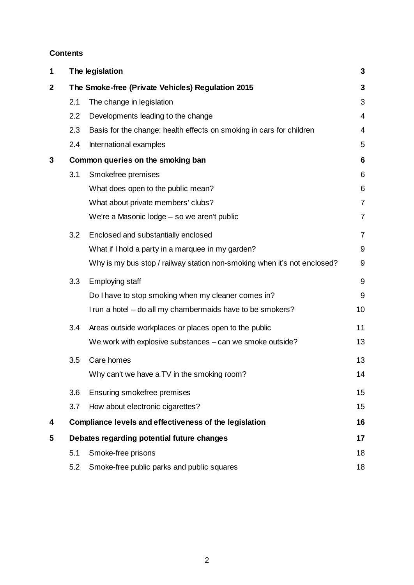## **Contents**

| 1            |                                                   | The legislation                                                          | 3              |
|--------------|---------------------------------------------------|--------------------------------------------------------------------------|----------------|
| $\mathbf{2}$ | The Smoke-free (Private Vehicles) Regulation 2015 |                                                                          | 3              |
|              | 2.1                                               | The change in legislation                                                | 3              |
|              | 2.2                                               | Developments leading to the change                                       | 4              |
|              | 2.3                                               | Basis for the change: health effects on smoking in cars for children     | 4              |
|              | 2.4                                               | International examples                                                   | 5              |
| 3            | Common queries on the smoking ban                 |                                                                          | 6              |
|              | 3.1                                               | Smokefree premises                                                       | 6              |
|              |                                                   | What does open to the public mean?                                       | 6              |
|              |                                                   | What about private members' clubs?                                       | $\overline{7}$ |
|              |                                                   | We're a Masonic lodge - so we aren't public                              | $\overline{7}$ |
|              | 3.2                                               | Enclosed and substantially enclosed                                      | $\overline{7}$ |
|              |                                                   | What if I hold a party in a marquee in my garden?                        | 9              |
|              |                                                   | Why is my bus stop / railway station non-smoking when it's not enclosed? | 9              |
|              | 3.3                                               | <b>Employing staff</b>                                                   | 9              |
|              |                                                   | Do I have to stop smoking when my cleaner comes in?                      | 9              |
|              |                                                   | I run a hotel - do all my chambermaids have to be smokers?               | 10             |
|              | 3.4                                               | Areas outside workplaces or places open to the public                    | 11             |
|              |                                                   | We work with explosive substances – can we smoke outside?                | 13             |
|              | 3.5                                               | Care homes                                                               | 13             |
|              |                                                   | Why can't we have a TV in the smoking room?                              | 14             |
|              | 3.6                                               | Ensuring smokefree premises                                              | 15             |
|              | 3.7                                               | How about electronic cigarettes?                                         | 15             |
| 4            |                                                   | Compliance levels and effectiveness of the legislation                   | 16             |
| 5            | Debates regarding potential future changes        |                                                                          | 17             |
|              | 5.1                                               | Smoke-free prisons                                                       | 18             |
|              | 5.2                                               | Smoke-free public parks and public squares                               | 18             |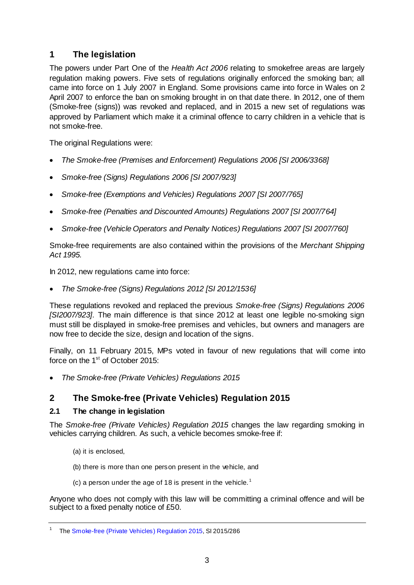# <span id="page-2-0"></span>**1 The legislation**

The powers under Part One of the *Health Act 2006* relating to smokefree areas are largely regulation making powers. Five sets of regulations originally enforced the smoking ban; all came into force on 1 July 2007 in England. Some provisions came into force in Wales on 2 April 2007 to enforce the ban on smoking brought in on that date there. In 2012, one of them (Smoke-free (signs)) was revoked and replaced, and in 2015 a new set of regulations was approved by Parliament which make it a criminal offence to carry children in a vehicle that is not smoke-free.

The original Regulations were:

- *The Smoke-free (Premises and Enforcement) Regulations 2006 [SI 2006/3368]*
- *Smoke-free (Signs) Regulations 2006 [SI 2007/923]*
- *Smoke-free (Exemptions and Vehicles) Regulations 2007 [SI 2007/765]*
- *Smoke-free (Penalties and Discounted Amounts) Regulations 2007 [SI 2007/764]*
- *Smoke-free (Vehicle Operators and Penalty Notices) Regulations 2007 [SI 2007/760]*

Smoke-free requirements are also contained within the provisions of the *Merchant Shipping Act 1995.*

In 2012, new regulations came into force:

• *The Smoke-free (Signs) Regulations 2012 [SI 2012/1536]*

These regulations revoked and replaced the previous *Smoke-free (Signs) Regulations 2006 [SI2007/923]*. The main difference is that since 2012 at least one legible no-smoking sign must still be displayed in smoke-free premises and vehicles, but owners and managers are now free to decide the size, design and location of the signs.

Finally, on 11 February 2015, MPs voted in favour of new regulations that will come into force on the 1<sup>st</sup> of October 2015:

• *The Smoke-free (Private Vehicles) Regulations 2015* 

## <span id="page-2-1"></span>**2 The Smoke-free (Private Vehicles) Regulation 2015**

## <span id="page-2-2"></span>**2.1 The change in legislation**

The *Smoke-free (Private Vehicles) Regulation 2015* changes the law regarding smoking in vehicles carrying children. As such, a vehicle becomes smoke-free if:

- (a) it is enclosed,
- (b) there is more than one person present in the vehicle, and
- (c) a person under the age of [1](#page-2-3)8 is present in the vehicle.<sup>1</sup>

Anyone who does not comply with this law will be committing a criminal offence and will be subject to a fixed penalty notice of £50.

<span id="page-2-3"></span><sup>1</sup> Th[e Smoke-free \(Private Vehicles\) Regulation 2015,](http://www.legislation.gov.uk/uksi/2015/286/contents/made) SI 2015/286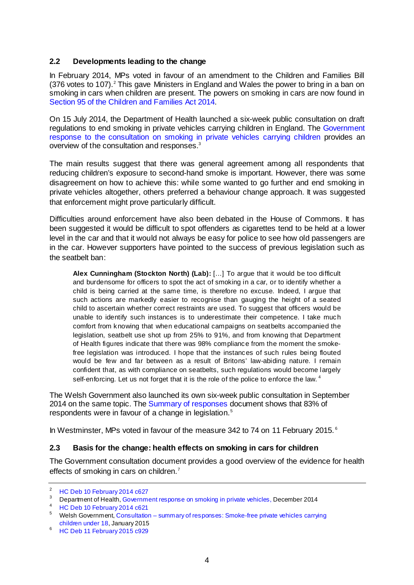#### <span id="page-3-0"></span>**2.2 Developments leading to the change**

In February 2014, MPs voted in favour of an amendment to the Children and Families Bill (376 votes to 107). [2](#page-3-2) This gave Ministers in England and Wales the power to bring in a ban on smoking in cars when children are present. The powers on smoking in cars are now found in [Section 95 of the Children and Families Act 2014.](http://www.legislation.gov.uk/ukpga/2014/6/pdfs/ukpga_20140006_en.pdf) 

On 15 July 2014, the Department of Health launched a six-week public consultation on draft regulations to end smoking in private vehicles carrying children in England. The [Government](https://www.gov.uk/government/consultations/proposals-to-make-private-vehicles-smokefree-when-carrying-children)  [response to the consultation on smoking in private vehicles carrying children](https://www.gov.uk/government/consultations/proposals-to-make-private-vehicles-smokefree-when-carrying-children) provides an overview of the consultation and responses.[3](#page-3-3)

The main results suggest that there was general agreement among all respondents that reducing children's exposure to second-hand smoke is important. However, there was some disagreement on how to achieve this: while some wanted to go further and end smoking in private vehicles altogether, others preferred a behaviour change approach. It was suggested that enforcement might prove particularly difficult.

Difficulties around enforcement have also been debated in the House of Commons. It has been suggested it would be difficult to spot offenders as cigarettes tend to be held at a lower level in the car and that it would not always be easy for police to see how old passengers are in the car. However supporters have pointed to the success of previous legislation such as the seatbelt ban:

**Alex Cunningham (Stockton North) (Lab):** […] To argue that it would be too difficult and burdensome for officers to spot the act of smoking in a car, or to identify whether a child is being carried at the same time, is therefore no excuse. Indeed, I argue that such actions are markedly easier to recognise than gauging the height of a seated child to ascertain whether correct restraints are used. To suggest that officers would be unable to identify such instances is to underestimate their competence. I take much comfort from knowing that when educational campaigns on seatbelts accompanied the legislation, seatbelt use shot up from 25% to 91%, and from knowing that Department of Health figures indicate that there was 98% compliance from the moment the smokefree legislation was introduced. I hope that the instances of such rules being flouted would be few and far between as a result of Britons' law-abiding nature. I remain confident that, as with compliance on seatbelts, such regulations would become largely self-enforcing. Let us not forget that it is the role of the police to enforce the law.<sup>[4](#page-3-4)</sup>

The Welsh Government also launched its own six-week public consultation in September 2014 on the same topic. The [Summary of responses](http://wales.gov.uk/docs/phhs/consultation/150210smokingcarresponsesen.pdf) document shows that 83% of respondents were in favour of a change in legislation. [5](#page-3-5)

In Westminster, MPs voted in favour of the measure 342 to 74 on 11 February 2015.<sup>[6](#page-3-6)</sup>

#### <span id="page-3-1"></span>**2.3 Basis for the change: health effects on smoking in cars for children**

The Government consultation document provides a good overview of the evidence for health effects of smoking in cars on children.<sup>[7](#page-3-7)</sup>

<span id="page-3-7"></span><span id="page-3-2"></span><sup>&</sup>lt;sup>2</sup> [HC Deb 10 February 2014 c627](http://www.publications.parliament.uk/pa/cm201314/cmhansrd/cm140210/debtext/140210-0003.htm%2314021036000038)

<span id="page-3-3"></span><sup>&</sup>lt;sup>3</sup> Department of Health[, Government response on smoking in private vehicles,](https://www.gov.uk/government/consultations/proposals-to-make-private-vehicles-smokefree-when-carrying-children) December 2014

<span id="page-3-4"></span><sup>4</sup> [HC Deb 10 February 2014 c621](http://www.publications.parliament.uk/pa/cm201314/cmhansrd/cm140210/debtext/140210-0002.htm%2314021028000163)

<span id="page-3-5"></span><sup>5</sup> Welsh Government, Consultation – [summary of responses: Smoke-free private vehicles carrying](http://wales.gov.uk/docs/phhs/consultation/150210smokingcarresponsesen.pdf) [children under 18,](http://wales.gov.uk/docs/phhs/consultation/150210smokingcarresponsesen.pdf) January 2015

<span id="page-3-6"></span><sup>6</sup> [HC Deb 11 February 2015 c929](http://www.publications.parliament.uk/pa/cm201415/cmhansrd/cm150211/debtext/150211-0005.htm%23150211111000003)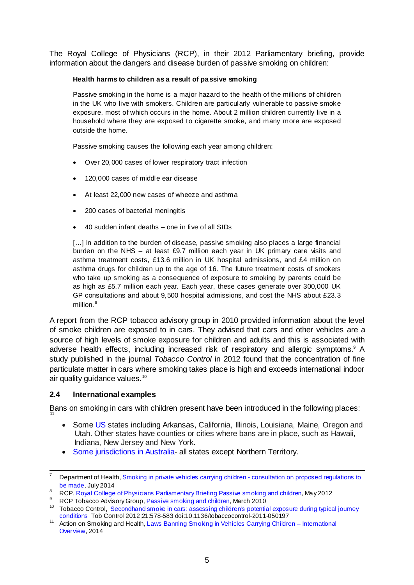The Royal College of Physicians (RCP), in their 2012 Parliamentary briefing, provide information about the dangers and disease burden of passive smoking on children:

#### **Health harms to children as a result of passive smoking**

Passive smoking in the home is a major hazard to the health of the millions of children in the UK who live with smokers. Children are particularly vulnerable to passive smoke exposure, most of which occurs in the home. About 2 million children currently live in a household where they are exposed to cigarette smoke, and many more are exposed outside the home.

Passive smoking causes the following each year among children:

- Over 20,000 cases of lower respiratory tract infection
- 120,000 cases of middle ear disease
- At least 22,000 new cases of wheeze and asthma
- 200 cases of bacterial meningitis
- 40 sudden infant deaths one in five of all SIDs

[...] In addition to the burden of disease, passive smoking also places a large financial burden on the NHS – at least £9.7 million each year in UK primary care visits and asthma treatment costs, £13.6 million in UK hospital admissions, and £4 million on asthma drugs for children up to the age of 16. The future treatment costs of smokers who take up smoking as a consequence of exposure to smoking by parents could be as high as £5.7 million each year. Each year, these cases generate over 300,000 UK GP consultations and about 9,500 hospital admissions, and cost the NHS about £23.3 million.<sup>[8](#page-4-1)</sup>

A report from the RCP tobacco advisory group in 2010 provided information about the level of smoke children are exposed to in cars. They advised that cars and other vehicles are a source of high levels of smoke exposure for children and adults and this is associated with adverse health effects, including increased risk of respiratory and allergic symptoms.<sup>9</sup> A study published in the journal *Tobacco Control* in 2012 found that the concentration of fine particulate matter in cars where smoking takes place is high and exceeds international indoor air quality guidance values.<sup>[10](#page-4-3)</sup>

#### <span id="page-4-0"></span>**2.4 International examples**

[B](#page-4-4)ans on smoking in cars with children present have been introduced in the following places:

- Som[e US](http://health.usnews.com/health-news/news/articles/2013/07/23/poll-us-adults-support-smoking-ban-in-cars-with-kids) states including Arkansas, California, Illinois, Louisiana, Maine, Oregon and Utah. Other states have counties or cities where bans are in place, such as Hawaii, Indiana, New Jersey and New York.
- [Some jurisdictions in Australia-](http://www.acosh.org/law-and-policy/australian-tobacco-control-legislation/%23Smoke%20Free%20Cars) all states except Northern Territory.

<sup>&</sup>lt;sup>7</sup> Department of Health[, Smoking in private vehicles carrying children -](https://www.gov.uk/government/uploads/system/uploads/attachment_data/file/329885/Smoking_in_cars_carrying_children.pdf) consultation on proposed regulations to [be made,](https://www.gov.uk/government/uploads/system/uploads/attachment_data/file/329885/Smoking_in_cars_carrying_children.pdf) July 2014

<span id="page-4-1"></span><sup>&</sup>lt;sup>8</sup> RCP[, Royal College of Physicians Parliamentary Briefing Passive smoking and children,](https://www.rcplondon.ac.uk/sites/default/files/documents/rcp_parliamentary_briefing_-_passive_smoking_and_children.doc.pdf) May 2012

<span id="page-4-2"></span><sup>&</sup>lt;sup>9</sup> RCP Tobacco Advisory Group, [Passive smoking and children,](https://www.rcplondon.ac.uk/sites/default/files/documents/passive-smoking-and-children.pdf) March 2010

<span id="page-4-3"></span><sup>10</sup> Tobacco Control, [Secondhand smoke in cars: assessing children's potential exposure during typical journey](http://tobaccocontrol.bmj.com/content/21/6/578.short)  [conditions](http://tobaccocontrol.bmj.com/content/21/6/578.short) Tob Control 2012;21:578-583 doi:10.1136/tobaccocontrol-2011-050197

<span id="page-4-4"></span><sup>&</sup>lt;sup>11</sup> Action on Smoking and Health[, Laws Banning Smoking in Vehicles Carrying Children –](http://www.ash.org.uk/files/documents/ASH_909.pdf) International [Overview,](http://www.ash.org.uk/files/documents/ASH_909.pdf) 2014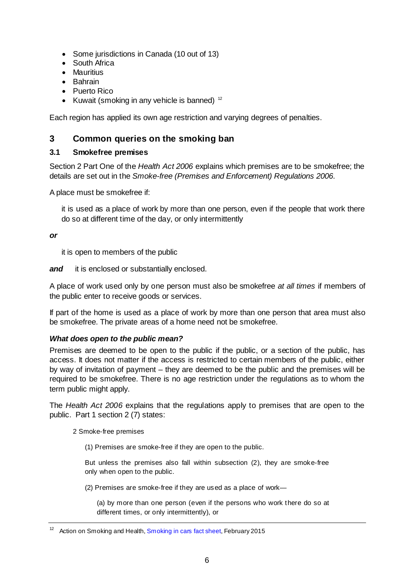- Some jurisdictions in Canada (10 out of 13)
- South Africa
- Mauritius
- Bahrain
- Puerto Rico
- Kuwait (smoking in any vehicle is banned)  $12$

Each region has applied its own age restriction and varying degrees of penalties.

# <span id="page-5-0"></span>**3 Common queries on the smoking ban**

## <span id="page-5-1"></span>**3.1 Smokefree premises**

Section 2 Part One of the *Health Act 2006* explains which premises are to be smokefree; the details are set out in the *Smoke-free (Premises and Enforcement) Regulations 2006*.

A place must be smokefree if:

it is used as a place of work by more than one person, even if the people that work there do so at different time of the day, or only intermittently

#### *or*

it is open to members of the public

**and** it is enclosed or substantially enclosed.

A place of work used only by one person must also be smokefree *at all times* if members of the public enter to receive goods or services.

If part of the home is used as a place of work by more than one person that area must also be smokefree. The private areas of a home need not be smokefree.

## <span id="page-5-2"></span>*What does open to the public mean?*

Premises are deemed to be open to the public if the public, or a section of the public, has access. It does not matter if the access is restricted to certain members of the public, either by way of invitation of payment – they are deemed to be the public and the premises will be required to be smokefree. There is no age restriction under the regulations as to whom the term public might apply.

The *Health Act 2006* explains that the regulations apply to premises that are open to the public. Part 1 section 2 (7) states:

2 Smoke-free premises

(1) Premises are smoke-free if they are open to the public.

But unless the premises also fall within subsection (2), they are smoke-free only when open to the public.

(2) Premises are smoke-free if they are used as a place of work—

(a) by more than one person (even if the persons who work there do so at different times, or only intermittently), or

<span id="page-5-3"></span><sup>&</sup>lt;sup>12</sup> Action on Smoking and Health[, Smoking in cars fact sheet,](http://ash.org.uk/files/documents/ASH_714.pdf) February 2015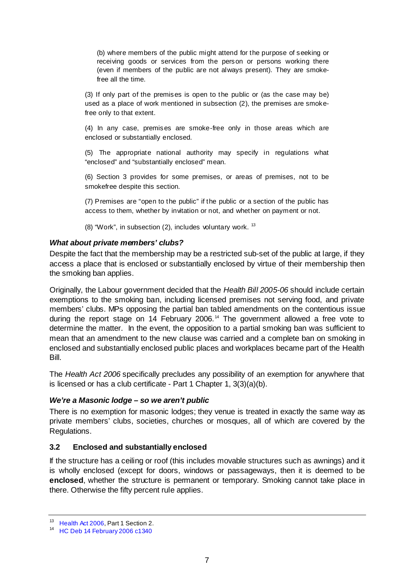(b) where members of the public might attend for the purpose of seeking or receiving goods or services from the person or persons working there (even if members of the public are not always present). They are smokefree all the time.

(3) If only part of the premises is open to the public or (as the case may be) used as a place of work mentioned in subsection (2), the premises are smokefree only to that extent.

(4) In any case, premises are smoke-free only in those areas which are enclosed or substantially enclosed.

(5) The appropriate national authority may specify in regulations what "enclosed" and "substantially enclosed" mean.

(6) Section 3 provides for some premises, or areas of premises, not to be smokefree despite this section.

(7) Premises are "open to the public" if the public or a section of the public has access to them, whether by invitation or not, and whether on payment or not.

(8) "Work", in subsection (2), includes voluntary work.  $13$ 

#### <span id="page-6-0"></span>*What about private members' clubs?*

Despite the fact that the membership may be a restricted sub-set of the public at large, if they access a place that is enclosed or substantially enclosed by virtue of their membership then the smoking ban applies.

Originally, the Labour government decided that the *Health Bill 2005-06* should include certain exemptions to the smoking ban, including licensed premises not serving food, and private members' clubs. MPs opposing the partial ban tabled amendments on the contentious issue during the report stage on [14](#page-6-4) February 2006.<sup>14</sup> The government allowed a free vote to determine the matter. In the event, the opposition to a partial smoking ban was sufficient to mean that an amendment to the new clause was carried and a complete ban on smoking in enclosed and substantially enclosed public places and workplaces became part of the Health Bill.

The *Health Act 2006* specifically precludes any possibility of an exemption for anywhere that is licensed or has a club certificate - Part 1 Chapter 1, 3(3)(a)(b).

#### <span id="page-6-1"></span>*We're a Masonic lodge – so we aren't public*

There is no exemption for masonic lodges; they venue is treated in exactly the same way as private members' clubs, societies, churches or mosques, all of which are covered by the Regulations.

#### <span id="page-6-2"></span>**3.2 Enclosed and substantially enclosed**

If the structure has a ceiling or roof (this includes movable structures such as awnings) and it is wholly enclosed (except for doors, windows or passageways, then it is deemed to be **enclosed**, whether the structure is permanent or temporary. Smoking cannot take place in there. Otherwise the fifty percent rule applies.

<span id="page-6-3"></span><sup>&</sup>lt;sup>13</sup> [Health Act 2006,](http://www.legislation.gov.uk/ukpga/2006/28/section/2) Part 1 Section 2.

<span id="page-6-4"></span><sup>14</sup> [HC Deb 14 February 2006 c1340](http://www.publications.parliament.uk/pa/cm200506/cmhansrd/vo060214/debtext/60214-24.htm%2360214-24_time0)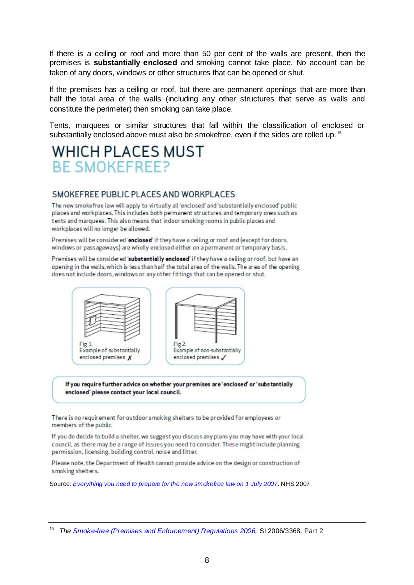If there is a ceiling or roof and more than 50 per cent of the walls are present, then the premises is **substantially enclosed** and smoking cannot take place. No account can be taken of any doors, windows or other structures that can be opened or shut.

If the premises has a ceiling or roof, but there are permanent openings that are more than half the total area of the walls (including any other structures that serve as walls and constitute the perimeter) then smoking can take place.

Tents, marquees or similar structures that fall within the classification of enclosed or substantially enclosed above must also be smokefree, even if the sides are rolled up.<sup>[15](#page-7-0)</sup>

# **WHICH PLACES MUST BE SMOKEFREE?**

## SMOKEFREE PUBLIC PLACES AND WORKPLACES

The new smokefree law will apply to virtually all 'enclosed' and 'substantially enclosed' public places and workplaces. This includes both permanent structures and temporary ones such as tents and marquees. This also means that indoor smoking rooms in public places and workplaces will no longer be allowed.

Premises will be considered 'enclosed' if they have a ceiling or roof and (except for doors. windows or passageways) are wholly enclosed either on a permanent or temporary basis.

Premises will be considered 'substantially enclosed' if they have a ceiling or roof, but have an opening in the walls, which is less than half the total area of the walls. The area of the opening does not include doors, windows or any other fittings that can be opened or shut.



If you require further advice on whether your premises are 'enclosed' or 'substantially enclosed' please contact your local council.

There is no requirement for outdoor smoking shelters to be provided for employees or members of the public.

If you do decide to build a shelter, we suggest you discuss any plans you may have with your local council, as there may be a range of issues you need to consider. These might include planning permission, licensing, building control, noise and litter.

Please note, the Department of Health cannot provide advice on the design or construction of smoking shelters.

Source: *[Everything you need to prepare for the new smokefree law on 1 July 2007](http://www.smokefreeengland.co.uk/files/everything_u_need_new_sf_law.pdf)*. NHS 2007

<span id="page-7-0"></span><sup>15</sup> *The [Smoke-free \(Premises and Enforcement\) Regulations 2006,](http://www.legislation.gov.uk/uksi/2006/3368/contents/made)* SI 2006/3368, Part 2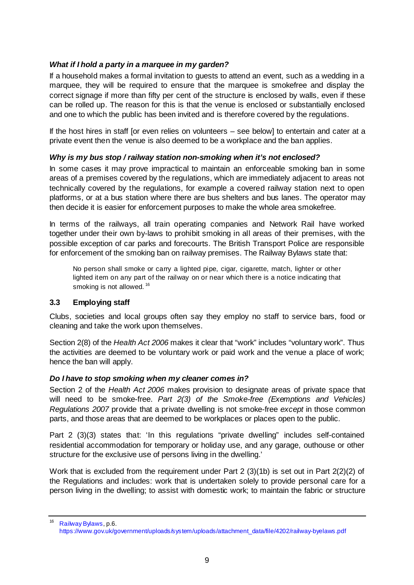#### <span id="page-8-0"></span>*What if I hold a party in a marquee in my garden?*

If a household makes a formal invitation to guests to attend an event, such as a wedding in a marquee, they will be required to ensure that the marquee is smokefree and display the correct signage if more than fifty per cent of the structure is enclosed by walls, even if these can be rolled up. The reason for this is that the venue is enclosed or substantially enclosed and one to which the public has been invited and is therefore covered by the regulations.

If the host hires in staff [or even relies on volunteers – see below] to entertain and cater at a private event then the venue is also deemed to be a workplace and the ban applies.

#### <span id="page-8-1"></span>*Why is my bus stop / railway station non-smoking when it's not enclosed?*

In some cases it may prove impractical to maintain an enforceable smoking ban in some areas of a premises covered by the regulations, which are immediately adjacent to areas not technically covered by the regulations, for example a covered railway station next to open platforms, or at a bus station where there are bus shelters and bus lanes. The operator may then decide it is easier for enforcement purposes to make the whole area smokefree.

In terms of the railways, all train operating companies and Network Rail have worked together under their own by-laws to prohibit smoking in all areas of their premises, with the possible exception of car parks and forecourts. The British Transport Police are responsible for enforcement of the smoking ban on railway premises. The Railway Bylaws state that:

No person shall smoke or carry a lighted pipe, cigar, cigarette, match, lighter or other lighted item on any part of the railway on or near which there is a notice indicating that smoking is not allowed.<sup>[16](#page-8-4)</sup>

#### <span id="page-8-2"></span>**3.3 Employing staff**

Clubs, societies and local groups often say they employ no staff to service bars, food or cleaning and take the work upon themselves.

Section 2(8) of the *Health Act 2006* makes it clear that "work" includes "voluntary work". Thus the activities are deemed to be voluntary work or paid work and the venue a place of work; hence the ban will apply.

#### <span id="page-8-3"></span>*Do I have to stop smoking when my cleaner comes in?*

Section 2 of the *Health Act 2006* makes provision to designate areas of private space that will need to be smoke-free. *Part 2(3) of the Smoke-free (Exemptions and Vehicles) Regulations 2007* provide that a private dwelling is not smoke-free *except* in those common parts, and those areas that are deemed to be workplaces or places open to the public.

Part 2 (3)(3) states that: 'In this regulations "private dwelling" includes self-contained residential accommodation for temporary or holiday use, and any garage, outhouse or other structure for the exclusive use of persons living in the dwelling.'

Work that is excluded from the requirement under Part 2 (3)(1b) is set out in Part 2(2)(2) of the Regulations and includes: work that is undertaken solely to provide personal care for a person living in the dwelling; to assist with domestic work; to maintain the fabric or structure

<span id="page-8-4"></span><sup>16</sup> [Railway Bylaws,](https://www.gov.uk/government/uploads/system/uploads/attachment_data/file/4202/railway-byelaws.pdf) p.6.

[https://www.gov.uk/government/uploads/system/uploads/attachment\\_data/file/4202/railway-byelaws.pdf](https://www.gov.uk/government/uploads/system/uploads/attachment_data/file/4202/railway-byelaws.pdf)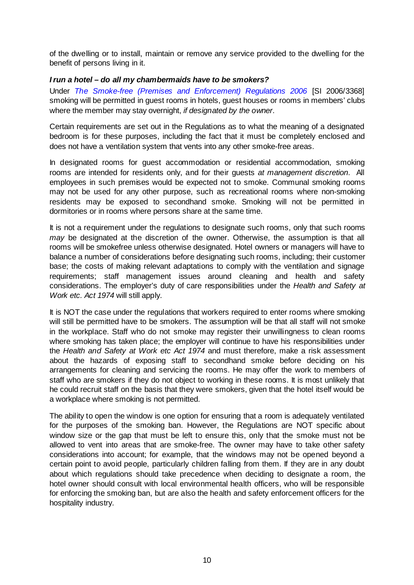of the dwelling or to install, maintain or remove any service provided to the dwelling for the benefit of persons living in it.

#### <span id="page-9-0"></span>*I run a hotel – do all my chambermaids have to be smokers?*

Under *[The Smoke-free \(Premises and Enforcement\) Regulations 2006](http://www.opsi.gov.uk/SI/si2006/20063368.htm)* [SI 2006/3368] smoking will be permitted in guest rooms in hotels, guest houses or rooms in members' clubs where the member may stay overnight, *if designated by the owner*.

Certain requirements are set out in the Regulations as to what the meaning of a designated bedroom is for these purposes, including the fact that it must be completely enclosed and does not have a ventilation system that vents into any other smoke-free areas.

In designated rooms for guest accommodation or residential accommodation, smoking rooms are intended for residents only, and for their guests *at management discretion*. All employees in such premises would be expected not to smoke. Communal smoking rooms may not be used for any other purpose, such as recreational rooms where non-smoking residents may be exposed to secondhand smoke. Smoking will not be permitted in dormitories or in rooms where persons share at the same time.

It is not a requirement under the regulations to designate such rooms, only that such rooms *may* be designated at the discretion of the owner. Otherwise, the assumption is that all rooms will be smokefree unless otherwise designated. Hotel owners or managers will have to balance a number of considerations before designating such rooms, including; their customer base; the costs of making relevant adaptations to comply with the ventilation and signage requirements; staff management issues around cleaning and health and safety considerations. The employer's duty of care responsibilities under the *Health and Safety at Work etc. Act 1974* will still apply.

It is NOT the case under the regulations that workers required to enter rooms where smoking will still be permitted have to be smokers. The assumption will be that all staff will not smoke in the workplace. Staff who do not smoke may register their unwillingness to clean rooms where smoking has taken place; the employer will continue to have his responsibilities under the *Health and Safety at Work etc Act 1974* and must therefore, make a risk assessment about the hazards of exposing staff to secondhand smoke before deciding on his arrangements for cleaning and servicing the rooms. He may offer the work to members of staff who are smokers if they do not object to working in these rooms. It is most unlikely that he could recruit staff on the basis that they were smokers, given that the hotel itself would be a workplace where smoking is not permitted.

The ability to open the window is one option for ensuring that a room is adequately ventilated for the purposes of the smoking ban. However, the Regulations are NOT specific about window size or the gap that must be left to ensure this, only that the smoke must not be allowed to vent into areas that are smoke-free. The owner may have to take other safety considerations into account; for example, that the windows may not be opened beyond a certain point to avoid people, particularly children falling from them. If they are in any doubt about which regulations should take precedence when deciding to designate a room, the hotel owner should consult with local environmental health officers, who will be responsible for enforcing the smoking ban, but are also the health and safety enforcement officers for the hospitality industry.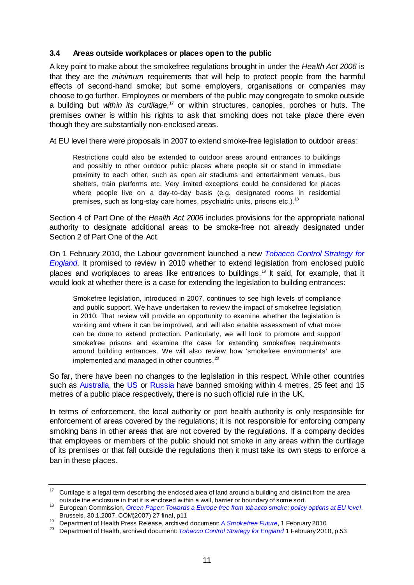#### <span id="page-10-0"></span>**3.4 Areas outside workplaces or places open to the public**

A key point to make about the smokefree regulations brought in under the *Health Act 2006* is that they are the *minimum* requirements that will help to protect people from the harmful effects of second-hand smoke; but some employers, organisations or companies may choose to go further. Employees or members of the public may congregate to smoke outside a building but *within its curtilage*,<sup>[17](#page-10-1)</sup> or within structures, canopies, porches or huts. The premises owner is within his rights to ask that smoking does not take place there even though they are substantially non-enclosed areas.

At EU level there were proposals in 2007 to extend smoke-free legislation to outdoor areas:

Restrictions could also be extended to outdoor areas around entrances to buildings and possibly to other outdoor public places where people sit or stand in immediate proximity to each other, such as open air stadiums and entertainment venues, bus shelters, train platforms etc. Very limited exceptions could be considered for places where people live on a day-to-day basis (e.g. designated rooms in residential premises, such as long-stay care homes, psychiatric units, prisons etc.).<sup>[18](#page-10-2)</sup>

Section 4 of Part One of the *Health Act 2006* includes provisions for the appropriate national authority to designate additional areas to be smoke-free not already designated under Section 2 of Part One of the Act.

On 1 February 2010, the Labour government launched a new *[Tobacco Control Strategy for](http://webarchive.nationalarchives.gov.uk/20130107105354/http:/www.dh.gov.uk/en/Publicationsandstatistics/Publications/PublicationsPolicyAndGuidance/DH_111749)  [England](http://webarchive.nationalarchives.gov.uk/20130107105354/http:/www.dh.gov.uk/en/Publicationsandstatistics/Publications/PublicationsPolicyAndGuidance/DH_111749)*. It promised to review in 2010 whether to extend legislation from enclosed public places and workplaces to areas like entrances to buildings.<sup>[19](#page-10-3)</sup> It said, for example, that it would look at whether there is a case for extending the legislation to building entrances:

Smokefree legislation, introduced in 2007, continues to see high levels of compliance and public support. We have undertaken to review the impact of smokefree legislation in 2010. That review will provide an opportunity to examine whether the legislation is working and where it can be improved, and will also enable assessment of what more can be done to extend protection. Particularly, we will look to promote and support smokefree prisons and examine the case for extending smokefree requirements around building entrances. We will also review how 'smokefree environments' are implemented and managed in other countries.<sup>[20](#page-10-4)</sup>

So far, there have been no changes to the legislation in this respect. While other countries such as [Australia,](http://www.allianz.com.au/life-insurance/nsw-bans-building-entrance-smoking) the [US](http://app.leg.wa.gov/rcw/default.aspx?cite=70.160&full=true) or [Russia](http://www.bbc.co.uk/news/world-europe-21431125) have banned smoking within 4 metres, 25 feet and 15 metres of a public place respectively, there is no such official rule in the UK.

In terms of enforcement, the local authority or port health authority is only responsible for enforcement of areas covered by the regulations; it is not responsible for enforcing company smoking bans in other areas that are not covered by the regulations. If a company decides that employees or members of the public should not smoke in any areas within the curtilage of its premises or that fall outside the regulations then it must take its own steps to enforce a ban in these places.

<span id="page-10-1"></span><sup>&</sup>lt;sup>17</sup> Curtilage is a legal term describing the enclosed area of land around a building and distinct from the area outside the enclosure in that it is enclosed within a wall, barrier or boundary of some sort.

<span id="page-10-2"></span>European Commission, [Green Paper: Towards a Europe free from tobacco smoke: policy options at EU level](http://ec.europa.eu/health/ph_determinants/life_style/Tobacco/Documents/gp_smoke_en.pdf), Brussels, 30.1.2007, COM(2007) 27 final, p11

<span id="page-10-3"></span><sup>19</sup> Department of Health Press Release, archived document: *[A Smokefree Future](http://webarchive.nationalarchives.gov.uk/20130107105354/http:/www.dh.gov.uk/en/MediaCentre/Pressreleasesarchive/DH_111744)*, 1 February 2010<br><sup>20</sup> Department of Health archived document: *Tobacco Control Strategy for England* 1 February 201

<span id="page-10-4"></span><sup>20</sup> Department of Health, archived document: *[Tobacco Control Strategy for England](http://webarchive.nationalarchives.gov.uk/20130107105354/http:/www.dh.gov.uk/en/Publicationsandstatistics/Publications/PublicationsPolicyAndGuidance/DH_111749)* 1 February 2010, p.53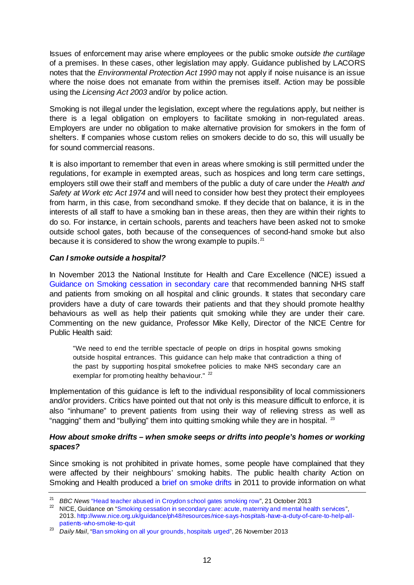Issues of enforcement may arise where employees or the public smoke *outside the curtilage* of a premises. In these cases, other legislation may apply. Guidance published by LACORS notes that the *Environmental Protection Act 1990* may not apply if noise nuisance is an issue where the noise does not emanate from within the premises itself. Action may be possible using the *Licensing Act 2003* and/or by police action.

Smoking is not illegal under the legislation, except where the regulations apply, but neither is there is a legal obligation on employers to facilitate smoking in non-regulated areas. Employers are under no obligation to make alternative provision for smokers in the form of shelters. If companies whose custom relies on smokers decide to do so, this will usually be for sound commercial reasons.

It is also important to remember that even in areas where smoking is still permitted under the regulations, for example in exempted areas, such as hospices and long term care settings, employers still owe their staff and members of the public a duty of care under the *Health and Safety at Work etc Act 1974* and will need to consider how best they protect their employees from harm, in this case, from secondhand smoke. If they decide that on balance, it is in the interests of all staff to have a smoking ban in these areas, then they are within their rights to do so. For instance, in certain schools, parents and teachers have been asked not to smoke outside school gates, both because of the consequences of second-hand smoke but also because it is considered to show the wrong example to pupils.<sup>[21](#page-11-0)</sup>

#### *Can I smoke outside a hospital?*

In November 2013 the National Institute for Health and Care Excellence (NICE) issued a [Guidance on Smoking cessation in secondary care](https://www.nice.org.uk/guidance/ph48) that recommended banning NHS staff and patients from smoking on all hospital and clinic grounds. It states that secondary care providers have a duty of care towards their patients and that they should promote healthy behaviours as well as help their patients quit smoking while they are under their care. Commenting on the new guidance, Professor Mike Kelly, Director of the NICE Centre for Public Health said:

"We need to end the terrible spectacle of people on drips in hospital gowns smoking outside hospital entrances. This guidance can help make that contradiction a thing of the past by supporting hospital smokefree policies to make NHS secondary care an exemplar for promoting healthy behaviour."  $22$ 

Implementation of this guidance is left to the individual responsibility of local commissioners and/or providers. Critics have pointed out that not only is this measure difficult to enforce, it is also "inhumane" to prevent patients from using their way of relieving stress as well as "nagging" them and "bullying" them into quitting smoking while they are in hospital.  $^{23}$  $^{23}$  $^{23}$ 

#### *How about smoke drifts – when smoke seeps or drifts into people's homes or working spaces?*

Since smoking is not prohibited in private homes, some people have complained that they were affected by their neighbours' smoking habits. The public health charity Action on Smoking and Health produced a [brief on smoke drifts](http://ash.org.uk/files/documents/ASH_827.pdf) in 2011 to provide information on what

<span id="page-11-0"></span><sup>&</sup>lt;sup>21</sup> *BBC News* ["Head teacher abused in Croydon school gates smoking row"](http://www.bbc.co.uk/news/uk-england-london-24606053), 21 October 2013

<span id="page-11-1"></span><sup>&</sup>lt;sup>22</sup> NICE, Guidance on ["Smoking cessation in secondary care: acute, maternity and mental health services"](http://www.nice.org.uk/guidance/ph48/resources/nice-says-hospitals-have-a-duty-of-care-to-help-all-patients-who-smoke-to-quit), 2013[. http://www.nice.org.uk/guidance/ph48/resources/nice-says-hospitals-have-a-duty-of-care-to-help-all](http://www.nice.org.uk/guidance/ph48/resources/nice-says-hospitals-have-a-duty-of-care-to-help-all-patients-who-smoke-to-quit)[patients-who-smoke-to-quit](http://www.nice.org.uk/guidance/ph48/resources/nice-says-hospitals-have-a-duty-of-care-to-help-all-patients-who-smoke-to-quit)

<span id="page-11-2"></span><sup>23</sup> *Daily Mail*, ["Ban smoking on all your grounds, hospitals urged"](http://www.dailymail.co.uk/health/article-2514107/Ban-smoking-grounds-hospitals-urged.html), 26 November 2013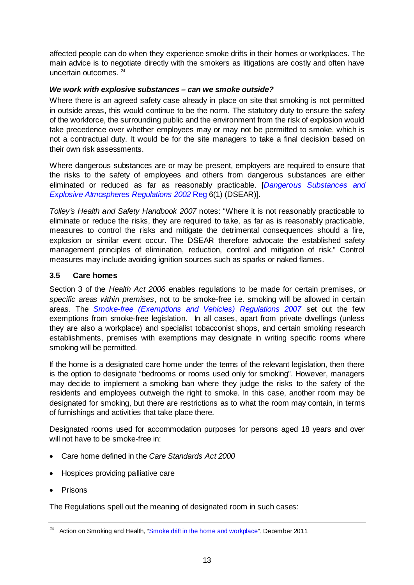affected people can do when they experience smoke drifts in their homes or workplaces. The main advice is to negotiate directly with the smokers as litigations are costly and often have uncertain outcomes. [24](#page-12-2)

#### <span id="page-12-0"></span>*We work with explosive substances – can we smoke outside?*

Where there is an agreed safety case already in place on site that smoking is not permitted in outside areas, this would continue to be the norm. The statutory duty to ensure the safety of the workforce, the surrounding public and the environment from the risk of explosion would take precedence over whether employees may or may not be permitted to smoke, which is not a contractual duty. It would be for the site managers to take a final decision based on their own risk assessments.

Where dangerous substances are or may be present, employers are required to ensure that the risks to the safety of employees and others from dangerous substances are either eliminated or reduced as far as reasonably practicable. [*[Dangerous Substances and](http://www.legislation.gov.uk/uksi/2002/2776/contents/made)  [Explosive Atmospheres Regulations 2002](http://www.legislation.gov.uk/uksi/2002/2776/contents/made)* Reg 6(1) (DSEAR)].

*Tolley's Health and Safety Handbook 2007* notes: "Where it is not reasonably practicable to eliminate or reduce the risks, they are required to take, as far as is reasonably practicable, measures to control the risks and mitigate the detrimental consequences should a fire, explosion or similar event occur. The DSEAR therefore advocate the established safety management principles of elimination, reduction, control and mitigation of risk." Control measures may include avoiding ignition sources such as sparks or naked flames.

#### <span id="page-12-1"></span>**3.5 Care homes**

Section 3 of the *Health Act 2006* enables regulations to be made for certain premises, *or specific areas within premises*, not to be smoke-free i.e. smoking will be allowed in certain areas. The *[Smoke-free \(Exemptions and Vehicles\) Regulations 2007](http://www.opsi.gov.uk/si/si2007/draft/20075735.htm)* set out the few exemptions from smoke-free legislation. In all cases, apart from private dwellings (unless they are also a workplace) and specialist tobacconist shops, and certain smoking research establishments, premises with exemptions may designate in writing specific rooms where smoking will be permitted.

If the home is a designated care home under the terms of the relevant legislation, then there is the option to designate "bedrooms or rooms used only for smoking". However, managers may decide to implement a smoking ban where they judge the risks to the safety of the residents and employees outweigh the right to smoke. In this case, another room may be designated for smoking, but there are restrictions as to what the room may contain, in terms of furnishings and activities that take place there.

Designated rooms used for accommodation purposes for persons aged 18 years and over will not have to be smoke-free in:

- Care home defined in the *Care Standards Act 2000*
- Hospices providing palliative care
- **Prisons**

The Regulations spell out the meaning of designated room in such cases:

<span id="page-12-2"></span> $24$  Action on Smoking and Health, ["Smoke drift in the home and workplace"](http://ash.org.uk/files/documents/ASH_827.pdf), December 2011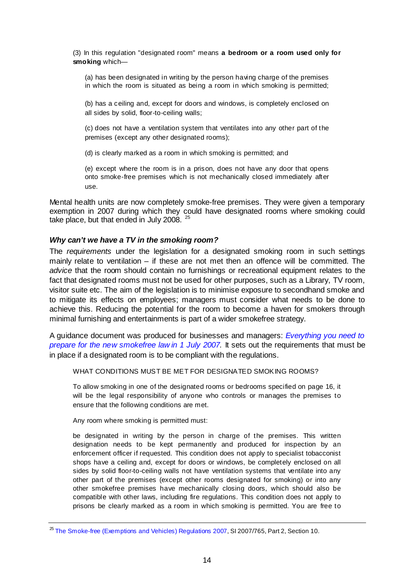(3) In this regulation "designated room" means **a bedroom or a room used only for smoking** which—

(a) has been designated in writing by the person having charge of the premises in which the room is situated as being a room in which smoking is permitted;

(b) has a ceiling and, except for doors and windows, is completely enclosed on all sides by solid, floor-to-ceiling walls;

(c) does not have a ventilation system that ventilates into any other part of the premises (except any other designated rooms);

(d) is clearly marked as a room in which smoking is permitted; and

(e) except where the room is in a prison, does not have any door that opens onto smoke-free premises which is not mechanically closed immediately after use.

Mental health units are now completely smoke-free premises. They were given a temporary exemption in 2007 during which they could have designated rooms where smoking could take place, but that ended in July 2008. <sup>[25](#page-13-1)</sup>

#### <span id="page-13-0"></span>*Why can't we have a TV in the smoking room?*

The *requirements* under the legislation for a designated smoking room in such settings mainly relate to ventilation – if these are not met then an offence will be committed. The *advice* that the room should contain no furnishings or recreational equipment relates to the fact that designated rooms must not be used for other purposes, such as a Library, TV room, visitor suite etc. The aim of the legislation is to minimise exposure to secondhand smoke and to mitigate its effects on employees; managers must consider what needs to be done to achieve this. Reducing the potential for the room to become a haven for smokers through minimal furnishing and entertainments is part of a wider smokefree strategy.

A guidance document was produced for businesses and managers: *[Everything you need to](http://www.smokefreeengland.co.uk/files/everything_u_need_new_sf_law.pdf)  [prepare for the new smokefree law in 1 July 2007.](http://www.smokefreeengland.co.uk/files/everything_u_need_new_sf_law.pdf)* It sets out the requirements that must be in place if a designated room is to be compliant with the regulations.

WHAT CONDITIONS MUST BE MET FOR DESIGNATED SMOKING ROOMS?

To allow smoking in one of the designated rooms or bedrooms specified on page 16, it will be the legal responsibility of anyone who controls or manages the premises to ensure that the following conditions are met.

Any room where smoking is permitted must:

be designated in writing by the person in charge of the premises. This written designation needs to be kept permanently and produced for inspection by an enforcement officer if requested. This condition does not apply to specialist tobacconist shops have a ceiling and, except for doors or windows, be completely enclosed on all sides by solid floor-to-ceiling walls not have ventilation systems that ventilate into any other part of the premises (except other rooms designated for smoking) or into any other smokefree premises have mechanically closing doors, which should also be compatible with other laws, including fire regulations. This condition does not apply to prisons be clearly marked as a room in which smoking is permitted. You are free to

<span id="page-13-1"></span><sup>&</sup>lt;sup>25</sup> [The Smoke-free \(Exemptions and Vehicles\) Regulations 2007,](http://www.legislation.gov.uk/uksi/2007/765/regulation/10/made) SI 2007/765, Part 2, Section 10.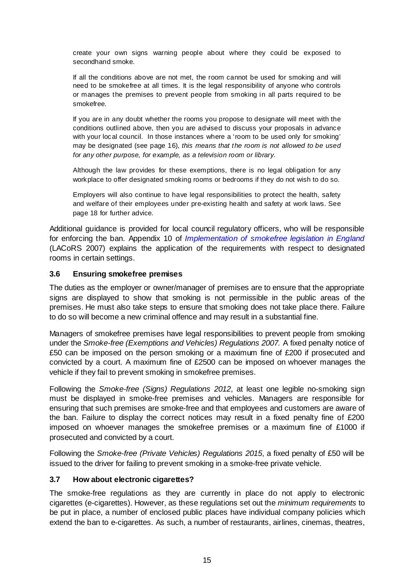create your own signs warning people about where they could be exposed to secondhand smoke.

If all the conditions above are not met, the room cannot be used for smoking and will need to be smokefree at all times. It is the legal responsibility of anyone who controls or manages the premises to prevent people from smoking in all parts required to be smokefree.

If you are in any doubt whether the rooms you propose to designate will meet with the conditions outlined above, then you are advised to discuss your proposals in advance with your local council. In those instances where a 'room to be used only for smoking' may be designated (see page 16), *this means that the room is not allowed to be used for any other purpose, for example, as a television room or library*.

Although the law provides for these exemptions, there is no legal obligation for any workplace to offer designated smoking rooms or bedrooms if they do not wish to do so.

Employers will also continue to have legal responsibilities to protect the health, safety and welfare of their employees under pre-existing health and safety at work laws. See page 18 for further advice.

Additional guidance is provided for local council regulatory officers, who will be responsible for enforcing the ban. Appendix 10 of *[Implementation of smokefree legislation in England](http://www.cieh.org/uploadedFiles/Core/Policy/Public_health/Smokefree_work_places_and_public_places/LACORS_guide_MAR07.pdf)* (LACoRS 2007) explains the application of the requirements with respect to designated rooms in certain settings.

#### <span id="page-14-0"></span>**3.6 Ensuring smokefree premises**

The duties as the employer or owner/manager of premises are to ensure that the appropriate signs are displayed to show that smoking is not permissible in the public areas of the premises. He must also take steps to ensure that smoking does not take place there. Failure to do so will become a new criminal offence and may result in a substantial fine.

Managers of smokefree premises have legal responsibilities to prevent people from smoking under the *Smoke-free (Exemptions and Vehicles) Regulations 2007.* A fixed penalty notice of £50 can be imposed on the person smoking or a maximum fine of £200 if prosecuted and convicted by a court. A maximum fine of £2500 can be imposed on whoever manages the vehicle if they fail to prevent smoking in smokefree premises.

Following the *Smoke-free (Signs) Regulations 2012*, at least one legible no-smoking sign must be displayed in smoke-free premises and vehicles. Managers are responsible for ensuring that such premises are smoke-free and that employees and customers are aware of the ban. Failure to display the correct notices may result in a fixed penalty fine of £200 imposed on whoever manages the smokefree premises or a maximum fine of £1000 if prosecuted and convicted by a court.

Following the *Smoke-free (Private Vehicles) Regulations 2015*, a fixed penalty of £50 will be issued to the driver for failing to prevent smoking in a smoke-free private vehicle.

## <span id="page-14-1"></span>**3.7 How about electronic cigarettes?**

The smoke-free regulations as they are currently in place do not apply to electronic cigarettes (e-cigarettes). However, as these regulations set out the *minimum requirements* to be put in place, a number of enclosed public places have individual company policies which extend the ban to e-cigarettes. As such, a number of restaurants, airlines, cinemas, theatres,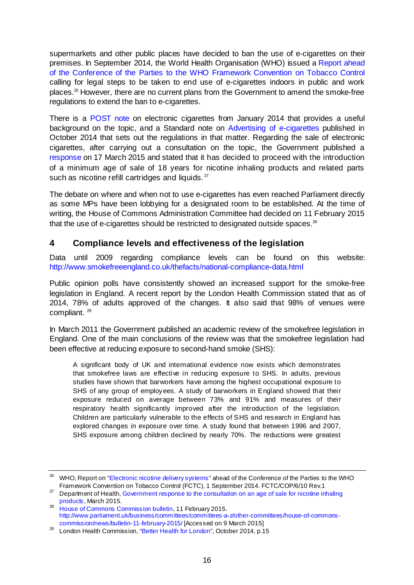supermarkets and other public places have decided to ban the use of e-cigarettes on their premises. In September 2014, the World Health Organisation (WHO) issued a Report ahead [of the Conference of the Parties to the WHO Framework Convention on Tobacco Control](http://apps.who.int/gb/fctc/PDF/cop6/FCTC_COP6_10-en.pdf?ua=1) calling for legal steps to be taken to end use of e-cigarettes indoors in public and work places[.26](#page-15-1) However, there are no current plans from the Government to amend the smoke-free regulations to extend the ban to e-cigarettes.

There is a [POST note](http://www.parliament.uk/business/publications/research/briefing-papers/POST-PN-455/electronic-cigarettes) on electronic cigarettes from January 2014 that provides a useful background on the topic, and a Standard note on [Advertising of e-cigarettes](http://www.parliament.uk/business/publications/research/briefing-papers/SN07001/advertising-of-ecigarettes) published in October 2014 that sets out the regulations in that matter. Regarding the sale of electronic cigarettes, after carrying out a consultation on the topic, the Government published a [response](https://www.gov.uk/government/uploads/system/uploads/attachment_data/file/413490/Gov_response_acc.pdf) on 17 March 2015 and stated that it has decided to proceed with the introduction of a minimum age of sale of 18 years for nicotine inhaling products and related parts such as nicotine refill cartridges and liquids.<sup>[27](#page-15-2)</sup>

The debate on where and when not to use e-cigarettes has even reached Parliament directly as some MPs have been lobbying for a designated room to be established. At the time of writing, the House of Commons Administration Committee had decided on 11 February 2015 that the use of e-cigarettes should be restricted to designated outside spaces.<sup>28</sup>

## <span id="page-15-0"></span>**4 Compliance levels and effectiveness of the legislation**

Data until 2009 regarding compliance levels can be found on this website: <http://www.smokefreeengland.co.uk/thefacts/national-compliance-data.html>

Public opinion polls have consistently showed an increased support for the smoke-free legislation in England. A recent report by the London Health Commission stated that as of 2014, 78% of adults approved of the changes. It also said that 98% of venues were compliant.<sup>[29](#page-15-4)</sup>

In March 2011 the Government published an academic review of the smokefree legislation in England. One of the main conclusions of the review was that the smokefree legislation had been effective at reducing exposure to second-hand smoke (SHS):

A significant body of UK and international evidence now exists which demonstrates that smokefree laws are effective in reducing exposure to SHS. In adults, previous studies have shown that barworkers have among the highest occupational exposure to SHS of any group of employees. A study of barworkers in England showed that their exposure reduced on average between 73% and 91% and measures of their respiratory health significantly improved after the introduction of the legislation. Children are particularly vulnerable to the effects of SHS and research in England has explored changes in exposure over time. A study found that between 1996 and 2007, SHS exposure among children declined by nearly 70%. The reductions were greatest

<span id="page-15-1"></span><sup>&</sup>lt;sup>26</sup> WHO, Report on ["Electronic nicotine delivery systems"](http://apps.who.int/gb/fctc/PDF/cop6/FCTC_COP6_10Rev1-en.pdf) ahead of the Conference of the Parties to the WHO Framework Convention on Tobacco Control (FCTC), 1 September 2014. FCTC/COP/6/10 Rev.1

<span id="page-15-2"></span><sup>&</sup>lt;sup>27</sup> Department of Health, Government response to the consultation on an age of sale for nicotine inhaling [products,](https://www.gov.uk/government/uploads/system/uploads/attachment_data/file/413490/Gov_response_acc.pdf) March 2015.

<span id="page-15-3"></span><sup>28</sup> [House of Commons Commission bulletin,](http://www.parliament.uk/business/committees/committees-a-z/other-committees/house-of-commons-commission/news/bulletin-11-february-2015/) 11 February 2015. [http://www.parliament.uk/business/committees/committees-a-z/other-committees/house-of-commons](http://www.parliament.uk/business/committees/committees-a-z/other-committees/house-of-commons-commission/news/bulletin-11-february-2015/)[commission/news/bulletin-11-february-2015/](http://www.parliament.uk/business/committees/committees-a-z/other-committees/house-of-commons-commission/news/bulletin-11-february-2015/) [Accessed on 9 March 2015]

<span id="page-15-4"></span><sup>29</sup> London Health Commission, ["Better Health for London"](http://www.londonhealthcommission.org.uk/wp-content/uploads/London-Health-Commission_Better-Health-for-London.pdf), October 2014, p.15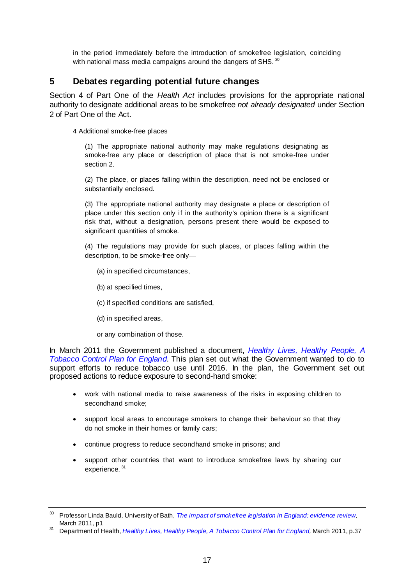in the period immediately before the introduction of smokefree legislation, coinciding with national mass media campaigns around the dangers of SHS. [30](#page-16-1)

## <span id="page-16-0"></span>**5 Debates regarding potential future changes**

Section 4 of Part One of the *Health Act* includes provisions for the appropriate national authority to designate additional areas to be smokefree *not already designated* under Section 2 of Part One of the Act.

4 Additional smoke-free places

(1) The appropriate national authority may make regulations designating as smoke-free any place or description of place that is not smoke-free under section 2.

(2) The place, or places falling within the description, need not be enclosed or substantially enclosed.

(3) The appropriate national authority may designate a place or description of place under this section only if in the authority's opinion there is a significant risk that, without a designation, persons present there would be exposed to significant quantities of smoke.

(4) The regulations may provide for such places, or places falling within the description, to be smoke-free only—

- (a) in specified circumstances,
- (b) at specified times,
- (c) if specified conditions are satisfied,
- (d) in specified areas,

or any combination of those.

In March 2011 the Government published a document, *[Healthy Lives, Healthy People, A](http://www.dh.gov.uk/prod_consum_dh/groups/dh_digitalassets/documents/digitalasset/dh_124960.pdf)  [Tobacco Control Plan for England](http://www.dh.gov.uk/prod_consum_dh/groups/dh_digitalassets/documents/digitalasset/dh_124960.pdf)*. This plan set out what the Government wanted to do to support efforts to reduce tobacco use until 2016. In the plan, the Government set out proposed actions to reduce exposure to second-hand smoke:

- work with national media to raise awareness of the risks in exposing children to secondhand smoke;
- support local areas to encourage smokers to change their behaviour so that they do not smoke in their homes or family cars;
- continue progress to reduce secondhand smoke in prisons; and
- support other countries that want to introduce smokefree laws by sharing our experience. [31](#page-16-2)

<span id="page-16-1"></span><sup>30</sup> Professor Linda Bauld, University of Bath, *[The impact of smokefree legislation in England: evidence review](http://www.dh.gov.uk/prod_consum_dh/groups/dh_digitalassets/documents/digitalasset/dh_124959.pdf)*, March 2011, p1

<span id="page-16-2"></span><sup>&</sup>lt;sup>31</sup> Department of Health, *[Healthy Lives, Healthy People, A Tobacco Control Plan for England,](http://www.dh.gov.uk/prod_consum_dh/groups/dh_digitalassets/documents/digitalasset/dh_124960.pdf)* March 2011, p.37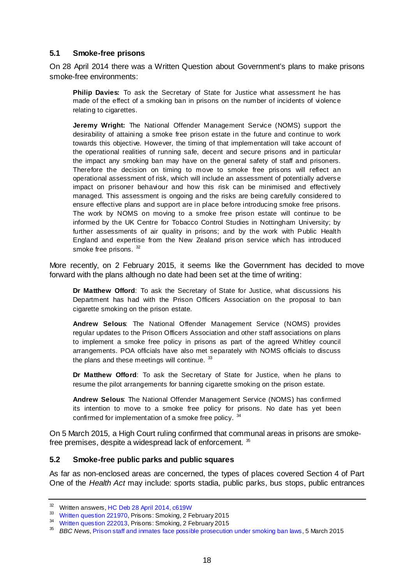#### <span id="page-17-0"></span>**5.1 Smoke-free prisons**

On 28 April 2014 there was a Written Question about Government's plans to make prisons smoke-free environments:

**Philip Davies:** To ask the Secretary of State for Justice what assessment he has made of the effect of a smoking ban in prisons on the number of incidents of violence relating to cigarettes.

**Jeremy Wright:** The National Offender Management Service (NOMS) support the desirability of attaining a smoke free prison estate in the future and continue to work towards this objective. However, the timing of that implementation will take account of the operational realities of running safe, decent and secure prisons and in particular the impact any smoking ban may have on the general safety of staff and prisoners. Therefore the decision on timing to move to smoke free prisons will reflect an operational assessment of risk, which will include an assessment of potentially adverse impact on prisoner behaviour and how this risk can be minimised and effectively managed. This assessment is ongoing and the risks are being carefully considered to ensure effective plans and support are in place before introducing smoke free prisons. The work by NOMS on moving to a smoke free prison estate will continue to be informed by the UK Centre for Tobacco Control Studies in Nottingham University; by further assessments of air quality in prisons; and by the work with Public Health England and expertise from the New Zealand prison service which has introduced smoke free prisons.  $32$ 

More recently, on 2 February 2015, it seems like the Government has decided to move forward with the plans although no date had been set at the time of writing:

**Dr Matthew Offord**: To ask the Secretary of State for Justice, what discussions his Department has had with the Prison Officers Association on the proposal to ban cigarette smoking on the prison estate.

**Andrew Selous**: The National Offender Management Service (NOMS) provides regular updates to the Prison Officers Association and other staff associations on plans to implement a smoke free policy in prisons as part of the agreed Whitley council arrangements. POA officials have also met separately with NOMS officials to discuss the plans and these meetings will continue.  $33$ 

**Dr Matthew Offord**: To ask the Secretary of State for Justice, when he plans to resume the pilot arrangements for banning cigarette smoking on the prison estate.

**Andrew Selous**: The National Offender Management Service (NOMS) has confirmed its intention to move to a smoke free policy for prisons. No date has yet been confirmed for implementation of a smoke free policy.  $34$ 

On 5 March 2015, a High Court ruling confirmed that communal areas in prisons are smokefree premises, despite a widespread lack of enforcement.  $35$ 

#### <span id="page-17-1"></span>**5.2 Smoke-free public parks and public squares**

As far as non-enclosed areas are concerned, the types of places covered Section 4 of Part One of the *Health Act* may include: sports stadia, public parks, bus stops, public entrances

<span id="page-17-2"></span><sup>32</sup> Written answers[, HC Deb 28 April 2014, c619W](http://www.publications.parliament.uk/pa/cm201314/cmhansrd/cm140428/text/140428w0007.htm%231404307000447)

<span id="page-17-3"></span><sup>33</sup> [Written question 221970,](http://www.parliament.uk/written-questions-answers-statements/written-question/commons/2015-01-26/221970) Prisons: Smoking, 2 February 2015

<span id="page-17-4"></span><sup>34</sup> [Written question 222013,](http://www.parliament.uk/written-questions-answers-statements/written-question/commons/2015-01-26/222013) Prisons: Smoking, 2 February 2015

<span id="page-17-5"></span><sup>35</sup> *BBC News*[, Prison staff and inmates face possible prosecution under smoking ban laws,](http://www.bbc.co.uk/news/uk-31750107) 5 March 2015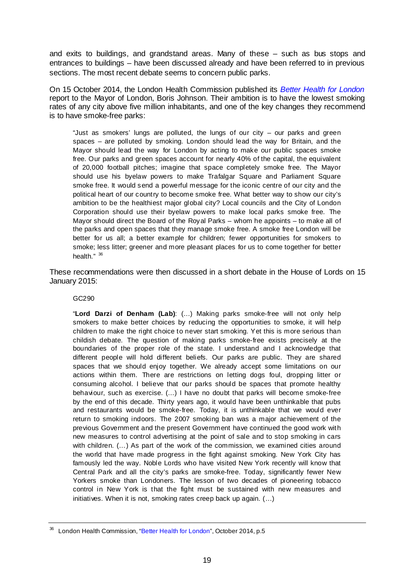and exits to buildings, and grandstand areas. Many of these – such as bus stops and entrances to buildings – have been discussed already and have been referred to in previous sections. The most recent debate seems to concern public parks.

On 15 October 2014, the London Health Commission published its *[Better Health for London](http://www.londonhealthcommission.org.uk/wp-content/uploads/London-Health-Commission_Better-Health-for-London.pdf)* report to the Mayor of London, Boris Johnson. Their ambition is to have the lowest smoking rates of any city above five million inhabitants, and one of the key changes they recommend is to have smoke-free parks:

"Just as smokers' lungs are polluted, the lungs of our city – our parks and green spaces – are polluted by smoking. London should lead the way for Britain, and the Mayor should lead the way for London by acting to make our public spaces smoke free. Our parks and green spaces account for nearly 40% of the capital, the equivalent of 20,000 football pitches; imagine that space completely smoke free. The Mayor should use his byelaw powers to make Trafalgar Square and Parliament Square smoke free. It would send a powerful message for the iconic centre of our city and the political heart of our country to become smoke free. What better way to show our city's ambition to be the healthiest major global city? Local councils and the City of London Corporation should use their byelaw powers to make local parks smoke free. The Mayor should direct the Board of the Royal Parks – whom he appoints – to make all of the parks and open spaces that they manage smoke free. A smoke free London will be better for us all; a better example for children; fewer opportunities for smokers to smoke; less litter; greener and more pleasant places for us to come together for better health."  $36$ 

These recommendations were then discussed in a short debate in the House of Lords on 15 January 2015:

#### GC290

"**Lord Darzi of Denham (Lab)**: (…) Making parks smoke-free will not only help smokers to make better choices by reducing the opportunities to smoke, it will help children to make the right choice to never start smoking. Yet this is more serious than childish debate. The question of making parks smoke-free exists precisely at the boundaries of the proper role of the state. I understand and I acknowledge that different people will hold different beliefs. Our parks are public. They are shared spaces that we should enjoy together. We already accept some limitations on our actions within them. There are restrictions on letting dogs foul, dropping litter or consuming alcohol. I believe that our parks should be spaces that promote healthy behaviour, such as exercise. (…) I have no doubt that parks will become smoke-free by the end of this decade. Thirty years ago, it would have been unthinkable that pubs and restaurants would be smoke-free. Today, it is unthinkable that we would ever return to smoking indoors. The 2007 smoking ban was a major achievement of the previous Government and the present Government have continued the good work with new measures to control advertising at the point of sale and to stop smoking in cars with children. (…) As part of the work of the commission, we examined cities around the world that have made progress in the fight against smoking. New York City has famously led the way. Noble Lords who have visited New York recently will know that Central Park and all the city's parks are smoke-free. Today, significantly fewer New Yorkers smoke than Londoners. The lesson of two decades of pioneering tobacco control in New York is that the fight must be sustained with new measures and initiatives. When it is not, smoking rates creep back up again. (…)

<span id="page-18-0"></span><sup>36</sup> London Health Commission, ["Better Health for London"](http://www.londonhealthcommission.org.uk/wp-content/uploads/London-Health-Commission_Better-Health-for-London.pdf), October 2014, p.5